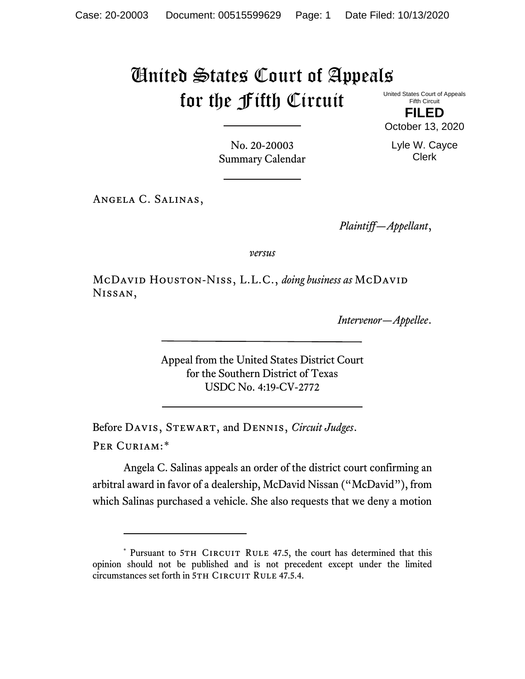# United States Court of Appeals for the Fifth Circuit United States Court of Appeals

Fifth Circuit **FILED**

October 13, 2020

Lyle W. Cayce Clerk

No. 20-20003 Summary Calendar

Angela C. Salinas,

*Plaintiff—Appellant*,

*versus*

McDavid Houston-Niss, L.L.C., *doing business as* McDavid Nissan,

*Intervenor—Appellee*.

Appeal from the United States District Court for the Southern District of Texas USDC No. 4:19-CV-2772

Before Davis, Stewart, and Dennis, *Circuit Judges*. Per Curiam:[\\*](#page-0-0)

Angela C. Salinas appeals an order of the district court confirming an arbitral award in favor of a dealership, McDavid Nissan ("McDavid"), from which Salinas purchased a vehicle. She also requests that we deny a motion

<span id="page-0-0"></span><sup>\*</sup> Pursuant to 5TH CIRCUIT RULE 47.5, the court has determined that this opinion should not be published and is not precedent except under the limited circumstances set forth in 5TH CIRCUIT RULE 47.5.4.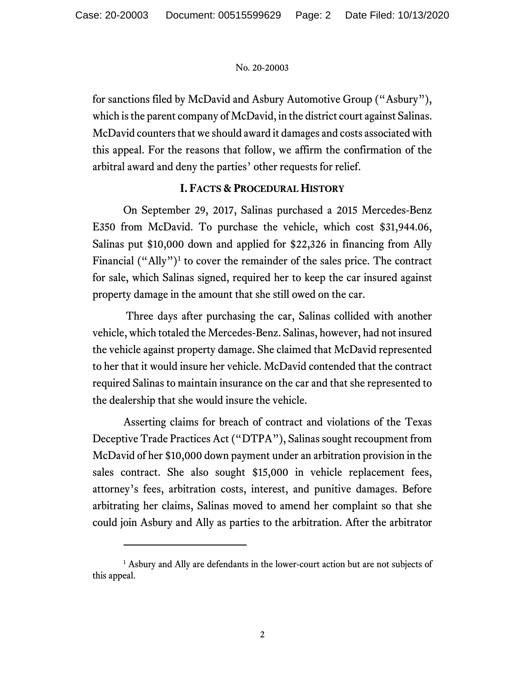for sanctions filed by McDavid and Asbury Automotive Group ("Asbury"), which is the parent company of McDavid, in the district court against Salinas. McDavid counters that we should award it damages and costs associated with this appeal. For the reasons that follow, we affirm the confirmation of the arbitral award and deny the parties' other requests for relief.

# **I. FACTS & PROCEDURAL HISTORY**

On September 29, 2017, Salinas purchased a 2015 Mercedes-Benz E350 from McDavid. To purchase the vehicle, which cost \$31,944.06, Salinas put \$10,000 down and applied for \$22,326 in financing from Ally Financial  $("Ally")<sup>1</sup>$  to cover the remainder of the sales price. The contract for sale, which Salinas signed, required her to keep the car insured against property damage in the amount that she still owed on the car.

Three days after purchasing the car, Salinas collided with another vehicle, which totaled the Mercedes-Benz. Salinas, however, had not insured the vehicle against property damage. She claimed that McDavid represented to her that it would insure her vehicle. McDavid contended that the contract required Salinas to maintain insurance on the car and that she represented to the dealership that she would insure the vehicle.

Asserting claims for breach of contract and violations of the Texas Deceptive Trade Practices Act ("DTPA"), Salinas sought recoupment from McDavid of her \$10,000 down payment under an arbitration provision in the sales contract. She also sought \$15,000 in vehicle replacement fees, attorney's fees, arbitration costs, interest, and punitive damages. Before arbitrating her claims, Salinas moved to amend her complaint so that she could join Asbury and Ally as parties to the arbitration. After the arbitrator

<span id="page-1-0"></span><sup>&</sup>lt;sup>1</sup> Asbury and Ally are defendants in the lower-court action but are not subjects of this appeal.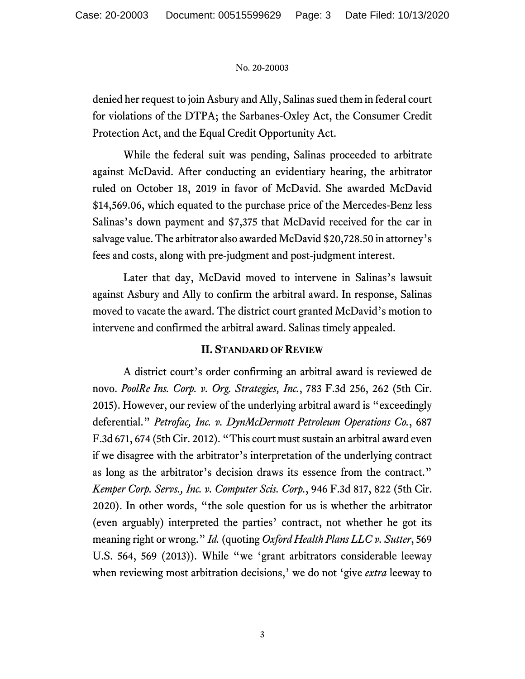denied her request to join Asbury and Ally, Salinas sued them in federal court for violations of the DTPA; the Sarbanes-Oxley Act, the Consumer Credit Protection Act, and the Equal Credit Opportunity Act.

While the federal suit was pending, Salinas proceeded to arbitrate against McDavid. After conducting an evidentiary hearing, the arbitrator ruled on October 18, 2019 in favor of McDavid. She awarded McDavid \$14,569.06, which equated to the purchase price of the Mercedes-Benz less Salinas's down payment and \$7,375 that McDavid received for the car in salvage value. The arbitrator also awarded McDavid \$20,728.50 in attorney's fees and costs, along with pre-judgment and post-judgment interest.

Later that day, McDavid moved to intervene in Salinas's lawsuit against Asbury and Ally to confirm the arbitral award. In response, Salinas moved to vacate the award. The district court granted McDavid's motion to intervene and confirmed the arbitral award. Salinas timely appealed.

# **II. STANDARD OF REVIEW**

A district court's order confirming an arbitral award is reviewed de novo. *PoolRe Ins. Corp. v. Org. Strategies, Inc.*, 783 F.3d 256, 262 (5th Cir. 2015). However, our review of the underlying arbitral award is "exceedingly deferential." *Petrofac, Inc. v. DynMcDermott Petroleum Operations Co.*, 687 F.3d 671, 674 (5th Cir. 2012). "This court must sustain an arbitral award even if we disagree with the arbitrator's interpretation of the underlying contract as long as the arbitrator's decision draws its essence from the contract." *Kemper Corp. Servs., Inc. v. Computer Scis. Corp.*, 946 F.3d 817, 822 (5th Cir. 2020). In other words, "the sole question for us is whether the arbitrator (even arguably) interpreted the parties' contract, not whether he got its meaning right or wrong." *Id.* (quoting *Oxford Health Plans LLC v. Sutter*, 569 U.S. 564, 569 (2013)). While "we 'grant arbitrators considerable leeway when reviewing most arbitration decisions,' we do not 'give *extra* leeway to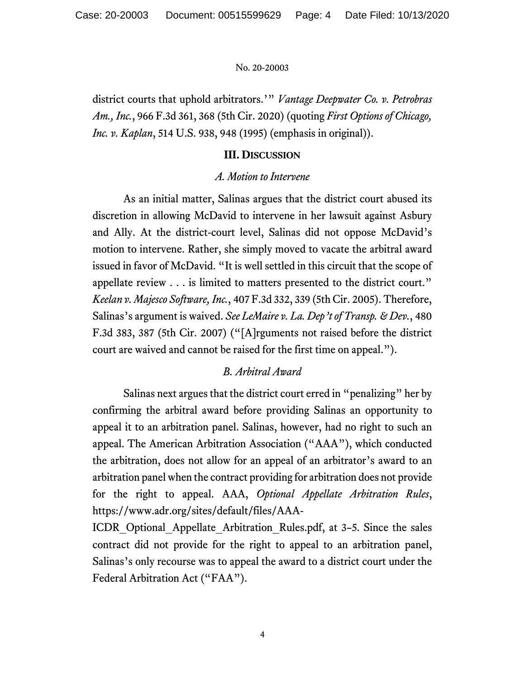district courts that uphold arbitrators.'" *Vantage Deepwater Co. v. Petrobras Am., Inc.*, 966 F.3d 361, 368 (5th Cir. 2020) (quoting *First Options of Chicago, Inc. v. Kaplan*, 514 U.S. 938, 948 (1995) (emphasis in original)).

### **III. DISCUSSION**

### *A. Motion to Intervene*

As an initial matter, Salinas argues that the district court abused its discretion in allowing McDavid to intervene in her lawsuit against Asbury and Ally. At the district-court level, Salinas did not oppose McDavid's motion to intervene. Rather, she simply moved to vacate the arbitral award issued in favor of McDavid. "It is well settled in this circuit that the scope of appellate review . . . is limited to matters presented to the district court." *Keelan v. Majesco Software, Inc.*, 407 F.3d 332, 339 (5th Cir. 2005). Therefore, Salinas's argument is waived. *See LeMaire v. La. Dep't of Transp. & Dev.*, 480 F.3d 383, 387 (5th Cir. 2007) ("[A]rguments not raised before the district court are waived and cannot be raised for the first time on appeal.").

# *B. Arbitral Award*

Salinas next argues that the district court erred in "penalizing" her by confirming the arbitral award before providing Salinas an opportunity to appeal it to an arbitration panel. Salinas, however, had no right to such an appeal. The American Arbitration Association ("AAA"), which conducted the arbitration, does not allow for an appeal of an arbitrator's award to an arbitration panel when the contract providing for arbitration does not provide for the right to appeal. AAA, *Optional Appellate Arbitration Rules*, https://www.adr.org/sites/default/files/AAA-

ICDR\_Optional\_Appellate\_Arbitration\_Rules.pdf, at 3–5. Since the sales contract did not provide for the right to appeal to an arbitration panel, Salinas's only recourse was to appeal the award to a district court under the Federal Arbitration Act ("FAA").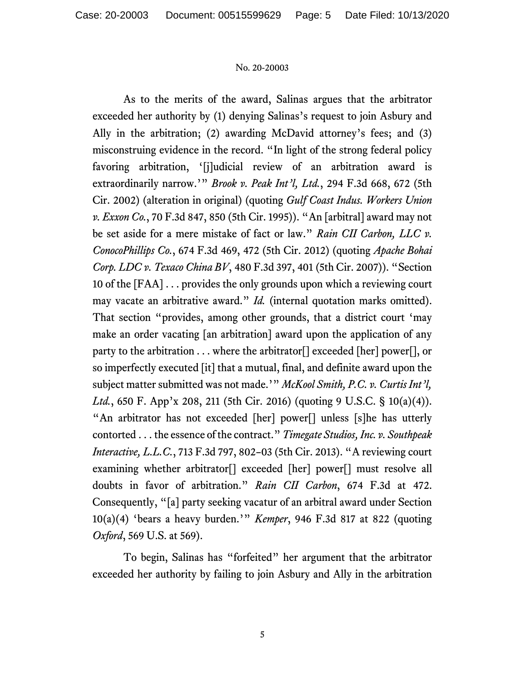As to the merits of the award, Salinas argues that the arbitrator exceeded her authority by (1) denying Salinas's request to join Asbury and Ally in the arbitration; (2) awarding McDavid attorney's fees; and (3) misconstruing evidence in the record. "In light of the strong federal policy favoring arbitration, '[j]udicial review of an arbitration award is extraordinarily narrow.'" *Brook v. Peak Int'l, Ltd.*, 294 F.3d 668, 672 (5th Cir. 2002) (alteration in original) (quoting *Gulf Coast Indus. Workers Union v. Exxon Co.*, 70 F.3d 847, 850 (5th Cir. 1995)). "An [arbitral] award may not be set aside for a mere mistake of fact or law." *Rain CII Carbon, LLC v. ConocoPhillips Co.*, 674 F.3d 469, 472 (5th Cir. 2012) (quoting *Apache Bohai Corp. LDC v. Texaco China BV*, 480 F.3d 397, 401 (5th Cir. 2007)). "Section 10 of the [FAA] . . . provides the only grounds upon which a reviewing court may vacate an arbitrative award." *Id.* (internal quotation marks omitted). That section "provides, among other grounds, that a district court 'may make an order vacating [an arbitration] award upon the application of any party to the arbitration . . . where the arbitrator[] exceeded [her] power[], or so imperfectly executed [it] that a mutual, final, and definite award upon the subject matter submitted was not made.'" *McKool Smith, P.C. v. Curtis Int'l, Ltd.*, 650 F. App'x 208, 211 (5th Cir. 2016) (quoting 9 U.S.C. § 10(a)(4)). "An arbitrator has not exceeded [her] power[] unless [s]he has utterly contorted . . . the essence of the contract." *Timegate Studios, Inc. v. Southpeak Interactive, L.L.C.*, 713 F.3d 797, 802–03 (5th Cir. 2013). "A reviewing court examining whether arbitrator<sup>[]</sup> exceeded [her] power<sup>[]</sup> must resolve all doubts in favor of arbitration." *Rain CII Carbon*, 674 F.3d at 472. Consequently, "[a] party seeking vacatur of an arbitral award under Section 10(a)(4) 'bears a heavy burden.'" *Kemper*, 946 F.3d 817 at 822 (quoting *Oxford*, 569 U.S. at 569).

To begin, Salinas has "forfeited" her argument that the arbitrator exceeded her authority by failing to join Asbury and Ally in the arbitration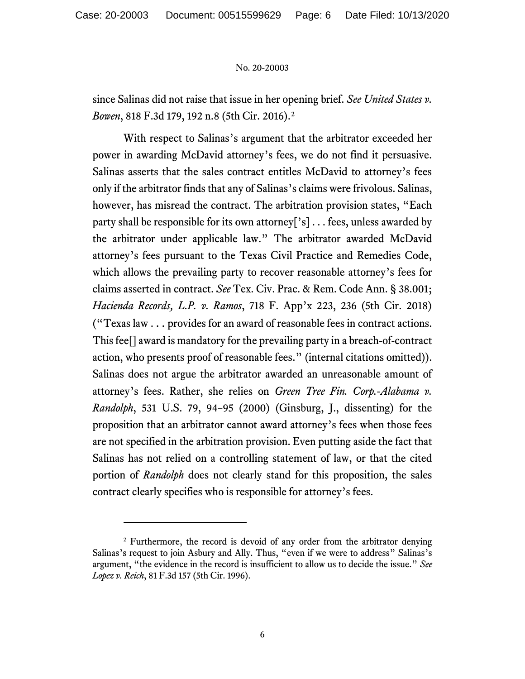since Salinas did not raise that issue in her opening brief. *See United States v. Bowen*, 818 F.3d 179, 192 n.8 (5th Cir. 2016). [2](#page-5-0)

With respect to Salinas's argument that the arbitrator exceeded her power in awarding McDavid attorney's fees, we do not find it persuasive. Salinas asserts that the sales contract entitles McDavid to attorney's fees only if the arbitrator finds that any of Salinas's claims were frivolous. Salinas, however, has misread the contract. The arbitration provision states, "Each party shall be responsible for its own attorney['s] . . . fees, unless awarded by the arbitrator under applicable law." The arbitrator awarded McDavid attorney's fees pursuant to the Texas Civil Practice and Remedies Code, which allows the prevailing party to recover reasonable attorney's fees for claims asserted in contract. *See* Tex. Civ. Prac. & Rem. Code Ann. § 38.001; *Hacienda Records, L.P. v. Ramos*, 718 F. App'x 223, 236 (5th Cir. 2018) ("Texas law . . . provides for an award of reasonable fees in contract actions. This fee[] award is mandatory for the prevailing party in a breach-of-contract action, who presents proof of reasonable fees." (internal citations omitted)). Salinas does not argue the arbitrator awarded an unreasonable amount of attorney's fees. Rather, she relies on *Green Tree Fin. Corp.-Alabama v. Randolph*, 531 U.S. 79, 94–95 (2000) (Ginsburg, J., dissenting) for the proposition that an arbitrator cannot award attorney's fees when those fees are not specified in the arbitration provision. Even putting aside the fact that Salinas has not relied on a controlling statement of law, or that the cited portion of *Randolph* does not clearly stand for this proposition, the sales contract clearly specifies who is responsible for attorney's fees.

<span id="page-5-0"></span><sup>&</sup>lt;sup>2</sup> Furthermore, the record is devoid of any order from the arbitrator denying Salinas's request to join Asbury and Ally. Thus, "even if we were to address" Salinas's argument, "the evidence in the record is insufficient to allow us to decide the issue." *See Lopez v. Reich*, 81 F.3d 157 (5th Cir. 1996).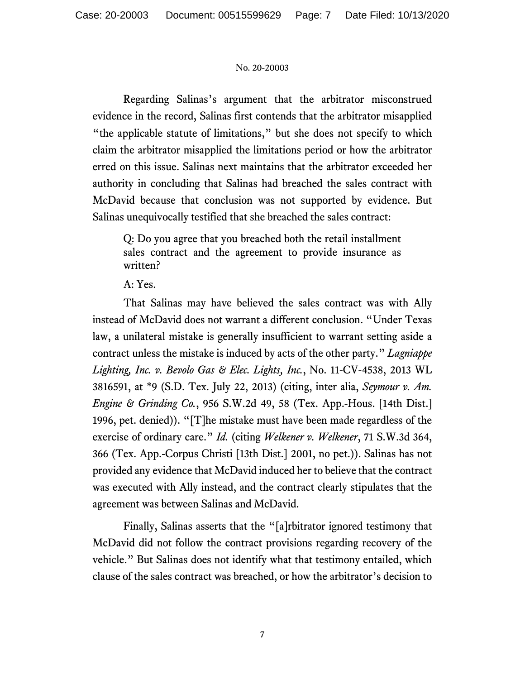Regarding Salinas's argument that the arbitrator misconstrued evidence in the record, Salinas first contends that the arbitrator misapplied "the applicable statute of limitations," but she does not specify to which claim the arbitrator misapplied the limitations period or how the arbitrator erred on this issue. Salinas next maintains that the arbitrator exceeded her authority in concluding that Salinas had breached the sales contract with McDavid because that conclusion was not supported by evidence. But Salinas unequivocally testified that she breached the sales contract:

Q: Do you agree that you breached both the retail installment sales contract and the agreement to provide insurance as written?

# A: Yes.

That Salinas may have believed the sales contract was with Ally instead of McDavid does not warrant a different conclusion. "Under Texas law, a unilateral mistake is generally insufficient to warrant setting aside a contract unless the mistake is induced by acts of the other party." *Lagniappe Lighting, Inc. v. Bevolo Gas & Elec. Lights, Inc.*, No. 11-CV-4538, 2013 WL 3816591, at \*9 (S.D. Tex. July 22, 2013) (citing, inter alia, *Seymour v. Am. Engine & Grinding Co.*, 956 S.W.2d 49, 58 (Tex. App.-Hous. [14th Dist.] 1996, pet. denied)). "[T]he mistake must have been made regardless of the exercise of ordinary care." *Id.* (citing *Welkener v. Welkener*, 71 S.W.3d 364, 366 (Tex. App.-Corpus Christi [13th Dist.] 2001, no pet.)). Salinas has not provided any evidence that McDavid induced her to believe that the contract was executed with Ally instead, and the contract clearly stipulates that the agreement was between Salinas and McDavid.

Finally, Salinas asserts that the "[a]rbitrator ignored testimony that McDavid did not follow the contract provisions regarding recovery of the vehicle." But Salinas does not identify what that testimony entailed, which clause of the sales contract was breached, or how the arbitrator's decision to